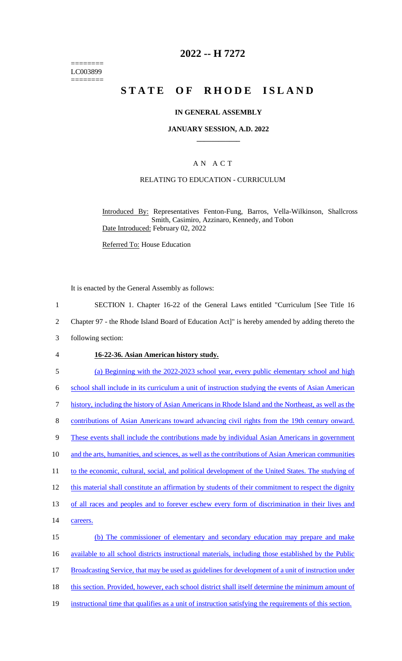======== LC003899 ========

### **2022 -- H 7272**

# **STATE OF RHODE ISLAND**

#### **IN GENERAL ASSEMBLY**

#### **JANUARY SESSION, A.D. 2022 \_\_\_\_\_\_\_\_\_\_\_\_**

#### A N A C T

#### RELATING TO EDUCATION - CURRICULUM

Introduced By: Representatives Fenton-Fung, Barros, Vella-Wilkinson, Shallcross Smith, Casimiro, Azzinaro, Kennedy, and Tobon Date Introduced: February 02, 2022

Referred To: House Education

It is enacted by the General Assembly as follows:

- 1 SECTION 1. Chapter 16-22 of the General Laws entitled "Curriculum [See Title 16
- 2 Chapter 97 the Rhode Island Board of Education Act]" is hereby amended by adding thereto the
- 3 following section:
- 4 **16-22-36. Asian American history study.**

5 (a) Beginning with the 2022-2023 school year, every public elementary school and high 6 school shall include in its curriculum a unit of instruction studying the events of Asian American 7 history, including the history of Asian Americans in Rhode Island and the Northeast, as well as the 8 contributions of Asian Americans toward advancing civil rights from the 19th century onward. 9 These events shall include the contributions made by individual Asian Americans in government 10 and the arts, humanities, and sciences, as well as the contributions of Asian American communities 11 to the economic, cultural, social, and political development of the United States. The studying of 12 this material shall constitute an affirmation by students of their commitment to respect the dignity 13 of all races and peoples and to forever eschew every form of discrimination in their lives and 14 careers. 15 (b) The commissioner of elementary and secondary education may prepare and make 16 available to all school districts instructional materials, including those established by the Public 17 Broadcasting Service, that may be used as guidelines for development of a unit of instruction under 18 this section. Provided, however, each school district shall itself determine the minimum amount of 19 instructional time that qualifies as a unit of instruction satisfying the requirements of this section.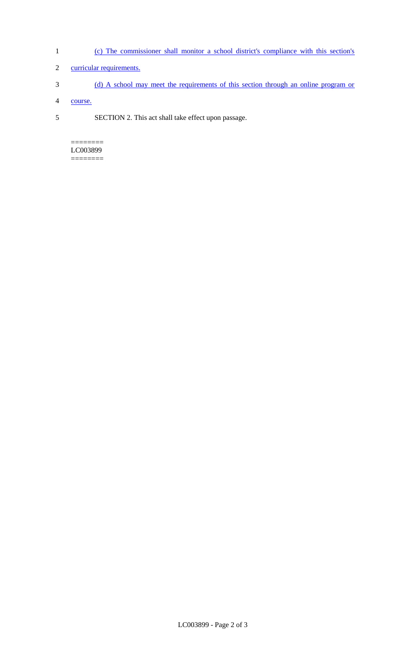- 1 (c) The commissioner shall monitor a school district's compliance with this section's
- 2 curricular requirements.
- 3 (d) A school may meet the requirements of this section through an online program or
- 4 course.
- 5 SECTION 2. This act shall take effect upon passage.

 $=$ LC003899 ========